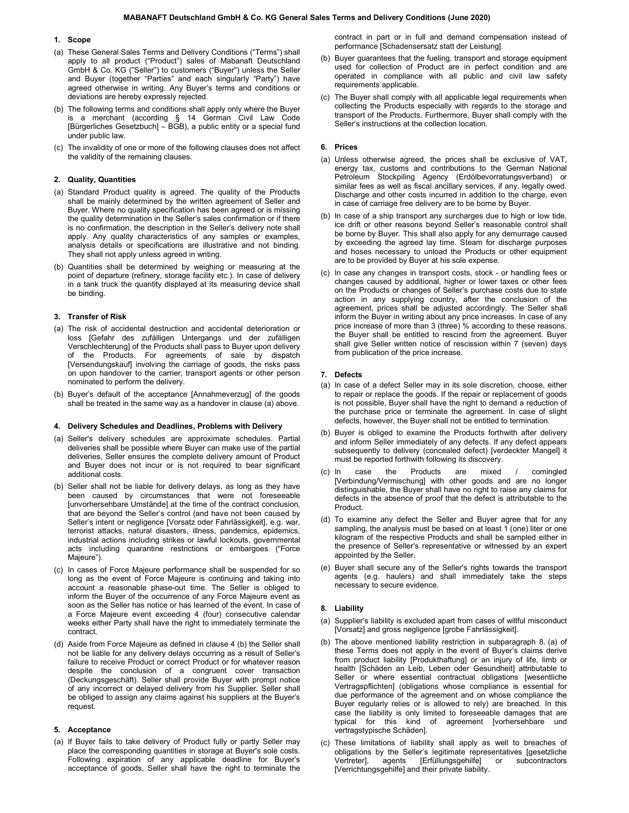# 1. Scope

- (a) These General Sales Terms and Delivery Conditions ("Terms") shall apply to all product ("Product") sales of Mabanaft Deutschland GmbH & Co. KG ("Seller") to customers ("Buyer") unless the Seller and Buyer (together "Parties" and each singularly "Party") have agreed otherwise in writing. Any Buyer's terms and conditions or deviations are hereby expressly rejected.
- (b) The following terms and conditions shall apply only where the Buyer is a merchant (according § 14 German Civil Law Code [Bürgerliches Gesetzbuch] – BGB), a public entity or a special fund under public law.
- (c) The invalidity of one or more of the following clauses does not affect the validity of the remaining clauses.

## 2. Quality, Quantities

- (a) Standard Product quality is agreed. The quality of the Products shall be mainly determined by the written agreement of Seller and Buyer. Where no quality specification has been agreed or is missing the quality determination in the Seller's sales confirmation or if there is no confirmation, the description in the Seller's delivery note shall apply. Any quality characteristics of any samples or examples, analysis details or specifications are illustrative and not binding. They shall not apply unless agreed in writing.
- (b) Quantities shall be determined by weighing or measuring at the point of departure (refinery, storage facility etc.). In case of delivery in a tank truck the quantity displayed at its measuring device shall be binding.

# 3. Transfer of Risk

- (a) The risk of accidental destruction and accidental deterioration or loss [Gefahr des zufälligen Untergangs und der zufälligen Verschlechterung] of the Products shall pass to Buyer upon delivery of the Products. For agreements of sale by dispatch [Versendungskauf] involving the carriage of goods, the risks pass on upon handover to the carrier, transport agents or other person nominated to perform the delivery.
- (b) Buyer's default of the acceptance [Annahmeverzug] of the goods shall be treated in the same way as a handover in clause (a) above.

### 4. Delivery Schedules and Deadlines, Problems with Delivery

- (a) Seller's delivery schedules are approximate schedules. Partial deliveries shall be possible where Buyer can make use of the partial deliveries, Seller ensures the complete delivery amount of Product and Buyer does not incur or is not required to bear significant additional costs.
- (b) Seller shall not be liable for delivery delays, as long as they have been caused by circumstances that were not foreseeable [unvorhersehbare Umstände] at the time of the contract conclusion, that are beyond the Seller's control (and have not been caused by Seller's intent or negligence [Vorsatz oder Fahrlässigkeit], e.g. war, terrorist attacks, natural disasters, illness, pandemics, epidemics, industrial actions including strikes or lawful lockouts, governmental acts including quarantine restrictions or embargoes ("Force Majeure").
- (c) In cases of Force Majeure performance shall be suspended for so long as the event of Force Majeure is continuing and taking into account a reasonable phase-out time. The Seller is obliged to inform the Buyer of the occurrence of any Force Majeure event as soon as the Seller has notice or has learned of the event. In case of a Force Majeure event exceeding 4 (four) consecutive calendar weeks either Party shall have the right to immediately terminate the contract.
- (d) Aside from Force Majeure as defined in clause 4 (b) the Seller shall not be liable for any delivery delays occurring as a result of Seller's failure to receive Product or correct Product or for whatever reason despite the conclusion of a congruent cover transaction (Deckungsgeschäft). Seller shall provide Buyer with prompt notice of any incorrect or delayed delivery from his Supplier. Seller shall be obliged to assign any claims against his suppliers at the Buyer's request.

### 5. Acceptance

(a) If Buyer fails to take delivery of Product fully or partly Seller may place the corresponding quantities in storage at Buyer's sole costs. Following expiration of any applicable deadline for Buyer's acceptance of goods, Seller shall have the right to terminate the contract in part or in full and demand compensation instead of performance [Schadensersatz statt der Leistung].

- (b) Buyer guarantees that the fueling, transport and storage equipment used for collection of Product are in perfect condition and are operated in compliance with all public and civil law safety requirements applicable.
- (c) The Buyer shall comply with all applicable legal requirements when collecting the Products especially with regards to the storage and transport of the Products. Furthermore, Buyer shall comply with the Seller's instructions at the collection location.

# 6. Prices

- (a) Unless otherwise agreed, the prices shall be exclusive of VAT, energy tax, customs and contributions to the German National Petroleum Stockpiling Agency (Erdölbevorratungsverband) or similar fees as well as fiscal ancillary services, if any, legally owed. Discharge and other costs incurred in addition to the charge, even in case of carriage free delivery are to be borne by Buyer.
- (b) In case of a ship transport any surcharges due to high or low tide, ice drift or other reasons beyond Seller's reasonable control shall be borne by Buyer. This shall also apply for any demurrage caused by exceeding the agreed lay time. Steam for discharge purposes and hoses necessary to unload the Products or other equipment are to be provided by Buyer at his sole expense.
- (c) In case any changes in transport costs, stock or handling fees or changes caused by additional, higher or lower taxes or other fees on the Products or changes of Seller's purchase costs due to state action in any supplying country, after the conclusion of the agreement, prices shall be adjusted accordingly. The Seller shall inform the Buyer in writing about any price increases. In case of any price increase of more than 3 (three) % according to these reasons, the Buyer shall be entitled to rescind from the agreement. Buyer shall give Seller written notice of rescission within 7 (seven) days from publication of the price increase.

### 7. Defects

- (a) In case of a defect Seller may in its sole discretion, choose, either to repair or replace the goods. If the repair or replacement of goods is not possible, Buyer shall have the right to demand a reduction of the purchase price or terminate the agreement. In case of slight defects, however, the Buyer shall not be entitled to termination.
- (b) Buyer is obliged to examine the Products forthwith after delivery and inform Seller immediately of any defects. If any defect appears subsequently to delivery (concealed defect) [verdeckter Mangel] it must be reported forthwith following its discovery.
- (c) In case the Products are mixed / comingled [Verbindung/Vermischung] with other goods and are no longer distinguishable, the Buyer shall have no right to raise any claims for defects in the absence of proof that the defect is attributable to the Product.
- (d) To examine any defect the Seller and Buyer agree that for any sampling, the analysis must be based on at least 1 (one) liter or one kilogram of the respective Products and shall be sampled either in the presence of Seller's representative or witnessed by an expert appointed by the Seller.
- (e) Buyer shall secure any of the Seller's rights towards the transport agents (e.g. haulers) and shall immediately take the steps necessary to secure evidence.

## 8. Liability

- (a) Supplier's liability is excluded apart from cases of willful misconduct [Vorsatz] and gross negligence [grobe Fahrlässigkeit].
- (b) The above mentioned liability restriction in subparagraph 8. (a) of these Terms does not apply in the event of Buyer's claims derive from product liability [Produkthaftung] or an injury of life, limb or health [Schäden an Leib, Leben oder Gesundheit] attributable to Seller or where essential contractual obligations [wesentliche Vertragspflichten] (obligations whose compliance is essential for due performance of the agreement and on whose compliance the Buyer regularly relies or is allowed to rely) are breached. In this case the liability is only limited to foreseeable damages that are typical for this kind of agreement [vorhersehbare und vertragstypische Schäden].
- (c) These limitations of liability shall apply as well to breaches of obligations by the Seller's legitimate representatives [gesetzliche Vertreter], agents [Erfüllungsgehilfe] or subcontractors [Verrichtungsgehilfe] and their private liability.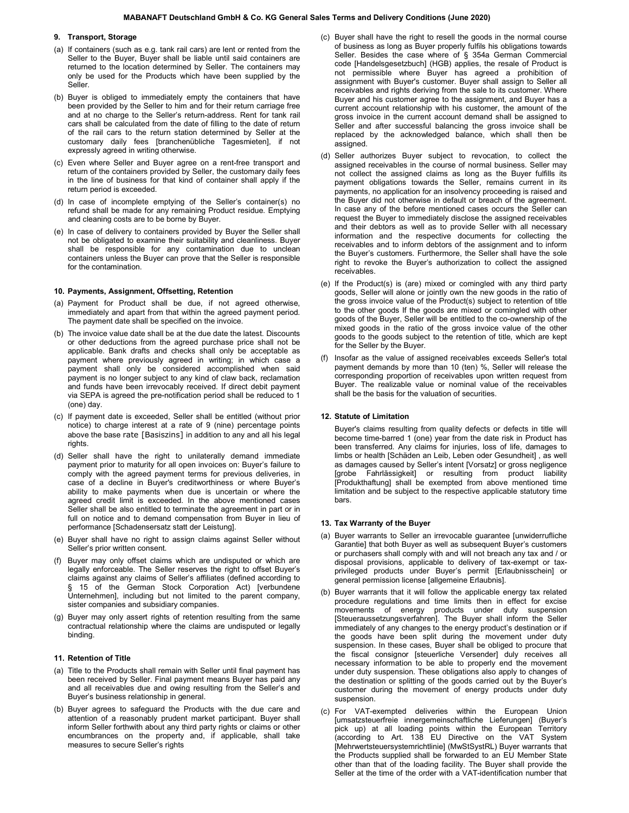# 9. Transport, Storage

- (a) If containers (such as e.g. tank rail cars) are lent or rented from the Seller to the Buyer, Buyer shall be liable until said containers are returned to the location determined by Seller. The containers may only be used for the Products which have been supplied by the Seller.
- (b) Buyer is obliged to immediately empty the containers that have been provided by the Seller to him and for their return carriage free and at no charge to the Seller's return-address. Rent for tank rail cars shall be calculated from the date of filling to the date of return of the rail cars to the return station determined by Seller at the customary daily fees [branchenübliche Tagesmieten], if not expressly agreed in writing otherwise.
- (c) Even where Seller and Buyer agree on a rent-free transport and return of the containers provided by Seller, the customary daily fees in the line of business for that kind of container shall apply if the return period is exceeded.
- (d) In case of incomplete emptying of the Seller's container(s) no refund shall be made for any remaining Product residue. Emptying and cleaning costs are to be borne by Buyer.
- (e) In case of delivery to containers provided by Buyer the Seller shall not be obligated to examine their suitability and cleanliness. Buyer shall be responsible for any contamination due to unclean containers unless the Buyer can prove that the Seller is responsible for the contamination.

#### 10. Payments, Assignment, Offsetting, Retention

- (a) Payment for Product shall be due, if not agreed otherwise, immediately and apart from that within the agreed payment period. The payment date shall be specified on the invoice.
- (b) The invoice value date shall be at the due date the latest. Discounts or other deductions from the agreed purchase price shall not be applicable. Bank drafts and checks shall only be acceptable as payment where previously agreed in writing; in which case a payment shall only be considered accomplished when said payment is no longer subject to any kind of claw back, reclamation and funds have been irrevocably received. If direct debit payment via SEPA is agreed the pre-notification period shall be reduced to 1 (one) day.
- (c) If payment date is exceeded, Seller shall be entitled (without prior notice) to charge interest at a rate of 9 (nine) percentage points above the base rate [Basiszins] in addition to any and all his legal rights.
- (d) Seller shall have the right to unilaterally demand immediate payment prior to maturity for all open invoices on: Buyer's failure to comply with the agreed payment terms for previous deliveries, in case of a decline in Buyer's creditworthiness or where Buyer's ability to make payments when due is uncertain or where the agreed credit limit is exceeded. In the above mentioned cases Seller shall be also entitled to terminate the agreement in part or in full on notice and to demand compensation from Buyer in lieu of performance [Schadensersatz statt der Leistung].
- (e) Buyer shall have no right to assign claims against Seller without Seller's prior written consent.
- (f) Buyer may only offset claims which are undisputed or which are legally enforceable. The Seller reserves the right to offset Buyer's claims against any claims of Seller's affiliates (defined according to § 15 of the German Stock Corporation Act) [verbundene Unternehmen], including but not limited to the parent company, sister companies and subsidiary companies.
- (g) Buyer may only assert rights of retention resulting from the same contractual relationship where the claims are undisputed or legally binding.

#### 11. Retention of Title

- (a) Title to the Products shall remain with Seller until final payment has been received by Seller. Final payment means Buyer has paid any and all receivables due and owing resulting from the Seller's and Buyer's business relationship in general.
- (b) Buyer agrees to safeguard the Products with the due care and attention of a reasonably prudent market participant. Buyer shall inform Seller forthwith about any third party rights or claims or other encumbrances on the property and, if applicable, shall take measures to secure Seller's rights
- (c) Buyer shall have the right to resell the goods in the normal course of business as long as Buyer properly fulfils his obligations towards Seller. Besides the case where of § 354a German Commercial code [Handelsgesetzbuch] (HGB) applies, the resale of Product is not permissible where Buyer has agreed a prohibition of assignment with Buyer's customer. Buyer shall assign to Seller all receivables and rights deriving from the sale to its customer. Where Buyer and his customer agree to the assignment, and Buyer has a current account relationship with his customer, the amount of the gross invoice in the current account demand shall be assigned to Seller and after successful balancing the gross invoice shall be replaced by the acknowledged balance, which shall then be assigned.
- (d) Seller authorizes Buyer subject to revocation, to collect the assigned receivables in the course of normal business. Seller may not collect the assigned claims as long as the Buyer fulfills its payment obligations towards the Seller, remains current in its payments, no application for an insolvency proceeding is raised and the Buyer did not otherwise in default or breach of the agreement. In case any of the before mentioned cases occurs the Seller can request the Buyer to immediately disclose the assigned receivables and their debtors as well as to provide Seller with all necessary information and the respective documents for collecting the receivables and to inform debtors of the assignment and to inform the Buyer's customers. Furthermore, the Seller shall have the sole right to revoke the Buyer's authorization to collect the assigned receivables.
- (e) If the Product(s) is (are) mixed or comingled with any third party goods, Seller will alone or jointly own the new goods in the ratio of the gross invoice value of the Product(s) subject to retention of title to the other goods If the goods are mixed or comingled with other goods of the Buyer, Seller will be entitled to the co-ownership of the mixed goods in the ratio of the gross invoice value of the other goods to the goods subject to the retention of title, which are kept for the Seller by the Buyer.
- (f) Insofar as the value of assigned receivables exceeds Seller's total payment demands by more than 10 (ten) %, Seller will release the corresponding proportion of receivables upon written request from Buyer. The realizable value or nominal value of the receivables shall be the basis for the valuation of securities.

# 12. Statute of Limitation

 Buyer's claims resulting from quality defects or defects in title will become time-barred 1 (one) year from the date risk in Product has been transferred. Any claims for injuries, loss of life, damages to limbs or health [Schäden an Leib, Leben oder Gesundheit] , as well as damages caused by Seller's intent [Vorsatz] or gross negligence [grobe Fahrlässigkeit] or resulting from product liability [Produkthaftung] shall be exempted from above mentioned time limitation and be subject to the respective applicable statutory time bars.

## 13. Tax Warranty of the Buyer

- (a) Buyer warrants to Seller an irrevocable guarantee [unwiderrufliche Garantie] that both Buyer as well as subsequent Buyer's customers or purchasers shall comply with and will not breach any tax and / or disposal provisions, applicable to delivery of tax-exempt or taxprivileged products under Buyer's permit [Erlaubnisschein] or general permission license [allgemeine Erlaubnis].
- (b) Buyer warrants that it will follow the applicable energy tax related procedure regulations and time limits then in effect for excise movements of energy products under duty suspension [Steueraussetzungsverfahren]. The Buyer shall inform the Seller immediately of any changes to the energy product's destination or if the goods have been split during the movement under duty suspension. In these cases, Buyer shall be obliged to procure that the fiscal consignor [steuerliche Versender] duly receives all necessary information to be able to properly end the movement under duty suspension. These obligations also apply to changes of the destination or splitting of the goods carried out by the Buyer's customer during the movement of energy products under duty suspension.
- (c) For VAT-exempted deliveries within the European Union [umsatzsteuerfreie innergemeinschaftliche Lieferungen] (Buyer's pick up) at all loading points within the European Territory (according to Art. 138 EU Directive on the VAT System [Mehrwertsteuersystemrichtlinie] (MwStSystRL) Buyer warrants that the Products supplied shall be forwarded to an EU Member State other than that of the loading facility. The Buyer shall provide the Seller at the time of the order with a VAT-identification number that